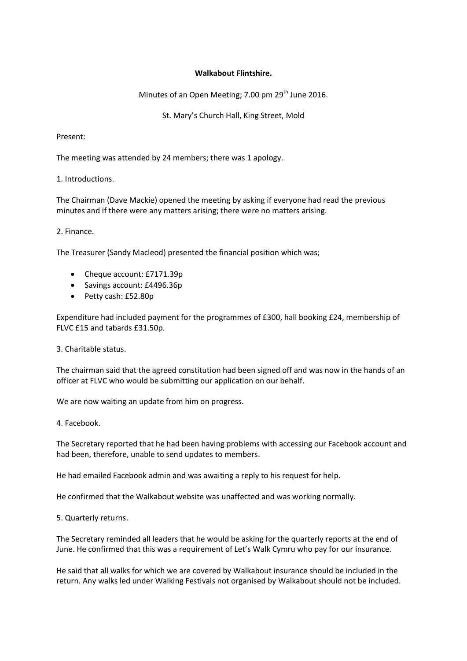## **Walkabout Flintshire.**

Minutes of an Open Meeting; 7.00 pm 29<sup>th</sup> June 2016.

St. Mary's Church Hall, King Street, Mold

Present:

The meeting was attended by 24 members; there was 1 apology.

## 1. Introductions.

The Chairman (Dave Mackie) opened the meeting by asking if everyone had read the previous minutes and if there were any matters arising; there were no matters arising.

## 2. Finance.

The Treasurer (Sandy Macleod) presented the financial position which was;

- Cheque account: £7171.39p
- Savings account: £4496.36p
- Petty cash: £52.80p

Expenditure had included payment for the programmes of £300, hall booking £24, membership of FLVC £15 and tabards £31.50p.

3. Charitable status.

The chairman said that the agreed constitution had been signed off and was now in the hands of an officer at FLVC who would be submitting our application on our behalf.

We are now waiting an update from him on progress.

4. Facebook.

The Secretary reported that he had been having problems with accessing our Facebook account and had been, therefore, unable to send updates to members.

He had emailed Facebook admin and was awaiting a reply to his request for help.

He confirmed that the Walkabout website was unaffected and was working normally.

5. Quarterly returns.

The Secretary reminded all leaders that he would be asking for the quarterly reports at the end of June. He confirmed that this was a requirement of Let's Walk Cymru who pay for our insurance.

He said that all walks for which we are covered by Walkabout insurance should be included in the return. Any walks led under Walking Festivals not organised by Walkabout should not be included.